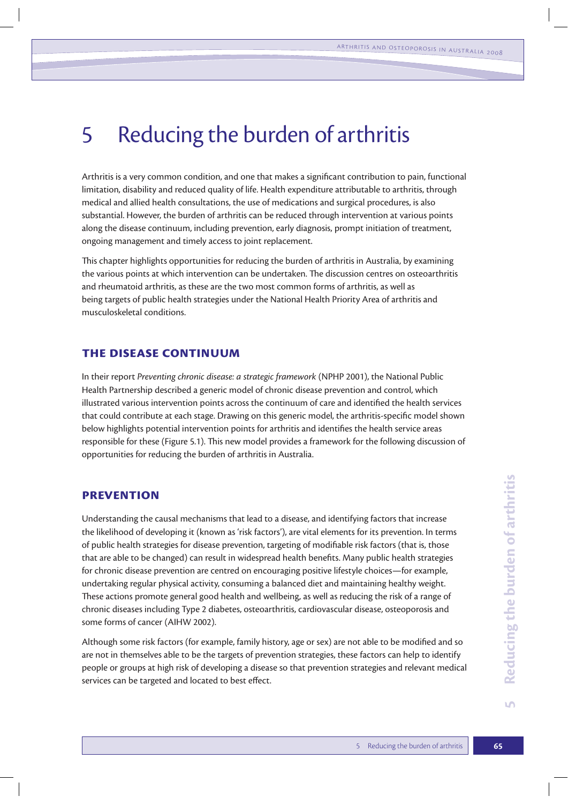# 5 Reducing the burden of arthritis

Arthritis is a very common condition, and one that makes a significant contribution to pain, functional limitation, disability and reduced quality of life. Health expenditure attributable to arthritis, through medical and allied health consultations, the use of medications and surgical procedures, is also substantial. However, the burden of arthritis can be reduced through intervention at various points along the disease continuum, including prevention, early diagnosis, prompt initiation of treatment, ongoing management and timely access to joint replacement.

This chapter highlights opportunities for reducing the burden of arthritis in Australia, by examining the various points at which intervention can be undertaken. The discussion centres on osteoarthritis and rheumatoid arthritis, as these are the two most common forms of arthritis, as well as being targets of public health strategies under the National Health Priority Area of arthritis and musculoskeletal conditions.

# **The disease continuum**

In their report *Preventing chronic disease: a strategic framework* (NPHP 2001), the National Public Health Partnership described a generic model of chronic disease prevention and control, which illustrated various intervention points across the continuum of care and identified the health services that could contribute at each stage. Drawing on this generic model, the arthritis-specific model shown below highlights potential intervention points for arthritis and identifies the health service areas responsible for these (Figure 5.1). This new model provides a framework for the following discussion of opportunities for reducing the burden of arthritis in Australia.

## **Prevention**

Understanding the causal mechanisms that lead to a disease, and identifying factors that increase the likelihood of developing it (known as 'risk factors'), are vital elements for its prevention. In terms of public health strategies for disease prevention, targeting of modifiable risk factors (that is, those that are able to be changed) can result in widespread health benefits. Many public health strategies for chronic disease prevention are centred on encouraging positive lifestyle choices—for example, undertaking regular physical activity, consuming a balanced diet and maintaining healthy weight. These actions promote general good health and wellbeing, as well as reducing the risk of a range of chronic diseases including Type 2 diabetes, osteoarthritis, cardiovascular disease, osteoporosis and some forms of cancer (AIHW 2002).

Although some risk factors (for example, family history, age or sex) are not able to be modified and so are not in themselves able to be the targets of prevention strategies, these factors can help to identify people or groups at high risk of developing a disease so that prevention strategies and relevant medical services can be targeted and located to best effect.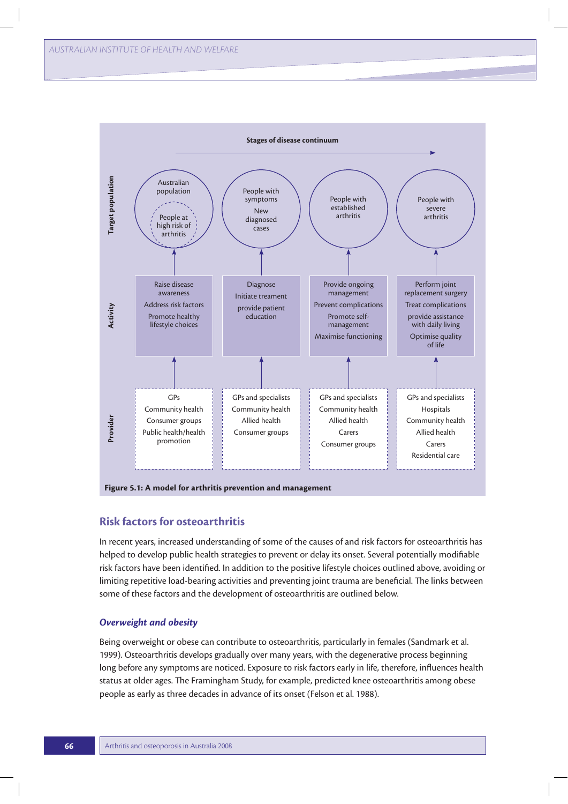

# **Risk factors for osteoarthritis**

In recent years, increased understanding of some of the causes of and risk factors for osteoarthritis has helped to develop public health strategies to prevent or delay its onset. Several potentially modifiable risk factors have been identified. In addition to the positive lifestyle choices outlined above, avoiding or limiting repetitive load-bearing activities and preventing joint trauma are beneficial. The links between some of these factors and the development of osteoarthritis are outlined below.

## *Overweight and obesity*

Being overweight or obese can contribute to osteoarthritis, particularly in females (Sandmark et al. 1999). Osteoarthritis develops gradually over many years, with the degenerative process beginning long before any symptoms are noticed. Exposure to risk factors early in life, therefore, influences health status at older ages. The Framingham Study, for example, predicted knee osteoarthritis among obese people as early as three decades in advance of its onset (Felson et al. 1988).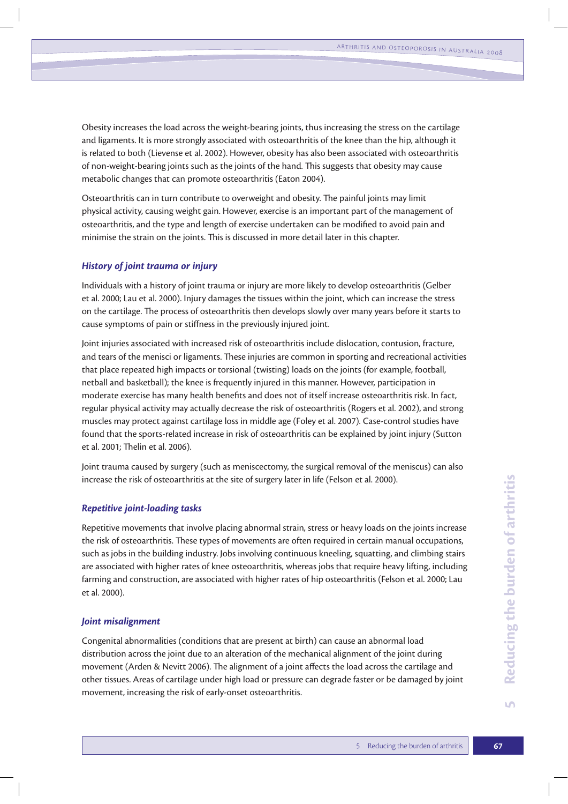Obesity increases the load across the weight-bearing joints, thus increasing the stress on the cartilage and ligaments. It is more strongly associated with osteoarthritis of the knee than the hip, although it is related to both (Lievense et al. 2002). However, obesity has also been associated with osteoarthritis of non-weight-bearing joints such as the joints of the hand. This suggests that obesity may cause metabolic changes that can promote osteoarthritis (Eaton 2004).

Osteoarthritis can in turn contribute to overweight and obesity. The painful joints may limit physical activity, causing weight gain. However, exercise is an important part of the management of osteoarthritis, and the type and length of exercise undertaken can be modified to avoid pain and minimise the strain on the joints. This is discussed in more detail later in this chapter.

## *History of joint trauma or injury*

Individuals with a history of joint trauma or injury are more likely to develop osteoarthritis (Gelber et al. 2000; Lau et al. 2000). Injury damages the tissues within the joint, which can increase the stress on the cartilage. The process of osteoarthritis then develops slowly over many years before it starts to cause symptoms of pain or stiffness in the previously injured joint.

Joint injuries associated with increased risk of osteoarthritis include dislocation, contusion, fracture, and tears of the menisci or ligaments. These injuries are common in sporting and recreational activities that place repeated high impacts or torsional (twisting) loads on the joints (for example, football, netball and basketball); the knee is frequently injured in this manner. However, participation in moderate exercise has many health benefits and does not of itself increase osteoarthritis risk. In fact, regular physical activity may actually decrease the risk of osteoarthritis (Rogers et al. 2002), and strong muscles may protect against cartilage loss in middle age (Foley et al. 2007). Case-control studies have found that the sports-related increase in risk of osteoarthritis can be explained by joint injury (Sutton et al. 2001; Thelin et al. 2006).

Joint trauma caused by surgery (such as meniscectomy, the surgical removal of the meniscus) can also increase the risk of osteoarthritis at the site of surgery later in life (Felson et al. 2000).

## *Repetitive joint-loading tasks*

Repetitive movements that involve placing abnormal strain, stress or heavy loads on the joints increase the risk of osteoarthritis. These types of movements are often required in certain manual occupations, such as jobs in the building industry. Jobs involving continuous kneeling, squatting, and climbing stairs are associated with higher rates of knee osteoarthritis, whereas jobs that require heavy lifting, including farming and construction, are associated with higher rates of hip osteoarthritis (Felson et al. 2000; Lau et al. 2000).

## *Joint misalignment*

Congenital abnormalities (conditions that are present at birth) can cause an abnormal load distribution across the joint due to an alteration of the mechanical alignment of the joint during movement (Arden & Nevitt 2006). The alignment of a joint affects the load across the cartilage and other tissues. Areas of cartilage under high load or pressure can degrade faster or be damaged by joint movement, increasing the risk of early-onset osteoarthritis.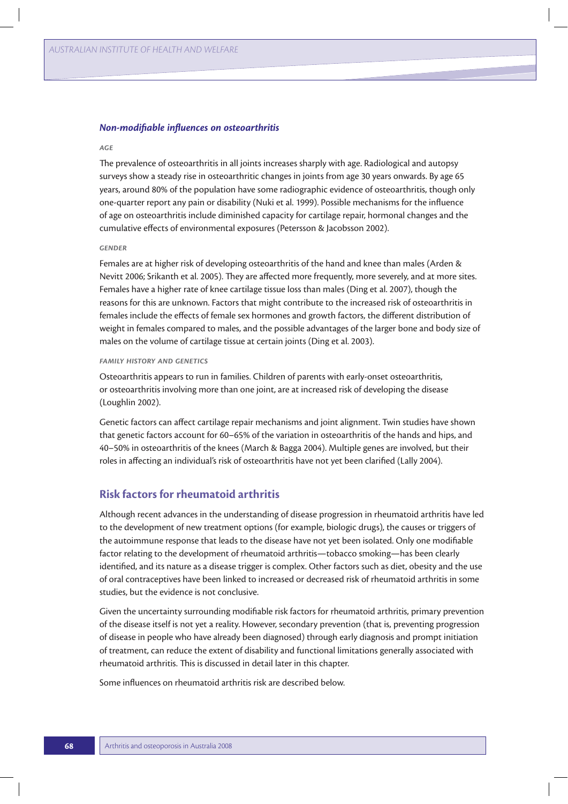#### *Non-modifiable influences on osteoarthritis*

#### *Age*

The prevalence of osteoarthritis in all joints increases sharply with age. Radiological and autopsy surveys show a steady rise in osteoarthritic changes in joints from age 30 years onwards. By age 65 years, around 80% of the population have some radiographic evidence of osteoarthritis, though only one-quarter report any pain or disability (Nuki et al. 1999). Possible mechanisms for the influence of age on osteoarthritis include diminished capacity for cartilage repair, hormonal changes and the cumulative effects of environmental exposures (Petersson & Jacobsson 2002).

#### *Gender*

Females are at higher risk of developing osteoarthritis of the hand and knee than males (Arden & Nevitt 2006; Srikanth et al. 2005). They are affected more frequently, more severely, and at more sites. Females have a higher rate of knee cartilage tissue loss than males (Ding et al. 2007), though the reasons for this are unknown. Factors that might contribute to the increased risk of osteoarthritis in females include the effects of female sex hormones and growth factors, the different distribution of weight in females compared to males, and the possible advantages of the larger bone and body size of males on the volume of cartilage tissue at certain joints (Ding et al. 2003).

#### *Family history and genetics*

Osteoarthritis appears to run in families. Children of parents with early-onset osteoarthritis, or osteoarthritis involving more than one joint, are at increased risk of developing the disease (Loughlin 2002).

Genetic factors can affect cartilage repair mechanisms and joint alignment. Twin studies have shown that genetic factors account for 60–65% of the variation in osteoarthritis of the hands and hips, and 40–50% in osteoarthritis of the knees (March & Bagga 2004). Multiple genes are involved, but their roles in affecting an individual's risk of osteoarthritis have not yet been clarified (Lally 2004).

# **Risk factors for rheumatoid arthritis**

Although recent advances in the understanding of disease progression in rheumatoid arthritis have led to the development of new treatment options (for example, biologic drugs), the causes or triggers of the autoimmune response that leads to the disease have not yet been isolated. Only one modifiable factor relating to the development of rheumatoid arthritis—tobacco smoking—has been clearly identified, and its nature as a disease trigger is complex. Other factors such as diet, obesity and the use of oral contraceptives have been linked to increased or decreased risk of rheumatoid arthritis in some studies, but the evidence is not conclusive.

Given the uncertainty surrounding modifiable risk factors for rheumatoid arthritis, primary prevention of the disease itself is not yet a reality. However, secondary prevention (that is, preventing progression of disease in people who have already been diagnosed) through early diagnosis and prompt initiation of treatment, can reduce the extent of disability and functional limitations generally associated with rheumatoid arthritis. This is discussed in detail later in this chapter.

Some influences on rheumatoid arthritis risk are described below.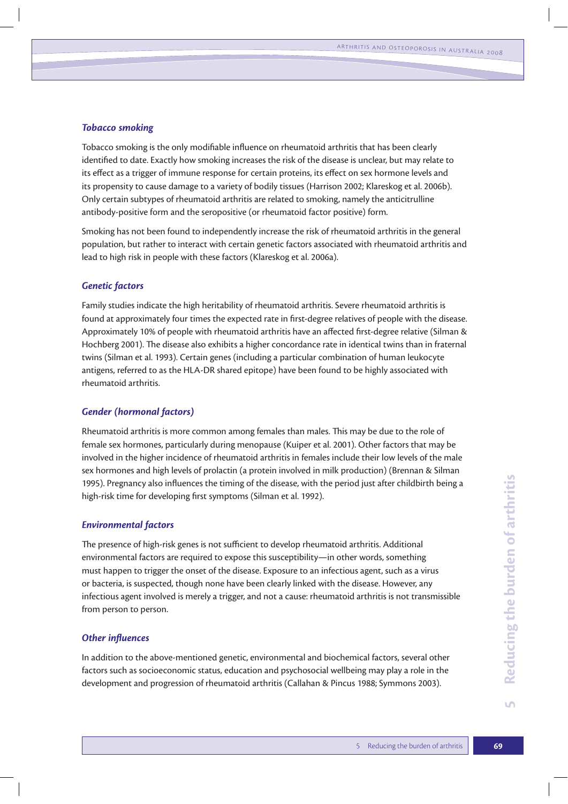## *Tobacco smoking*

Tobacco smoking is the only modifiable influence on rheumatoid arthritis that has been clearly identified to date. Exactly how smoking increases the risk of the disease is unclear, but may relate to its effect as a trigger of immune response for certain proteins, its effect on sex hormone levels and its propensity to cause damage to a variety of bodily tissues (Harrison 2002; Klareskog et al. 2006b). Only certain subtypes of rheumatoid arthritis are related to smoking, namely the anticitrulline antibody-positive form and the seropositive (or rheumatoid factor positive) form.

Smoking has not been found to independently increase the risk of rheumatoid arthritis in the general population, but rather to interact with certain genetic factors associated with rheumatoid arthritis and lead to high risk in people with these factors (Klareskog et al. 2006a).

## *Genetic factors*

Family studies indicate the high heritability of rheumatoid arthritis. Severe rheumatoid arthritis is found at approximately four times the expected rate in first-degree relatives of people with the disease. Approximately 10% of people with rheumatoid arthritis have an affected first-degree relative (Silman & Hochberg 2001). The disease also exhibits a higher concordance rate in identical twins than in fraternal twins (Silman et al. 1993). Certain genes (including a particular combination of human leukocyte antigens, referred to as the HLA-DR shared epitope) have been found to be highly associated with rheumatoid arthritis.

## *Gender (hormonal factors)*

Rheumatoid arthritis is more common among females than males. This may be due to the role of female sex hormones, particularly during menopause (Kuiper et al. 2001). Other factors that may be involved in the higher incidence of rheumatoid arthritis in females include their low levels of the male sex hormones and high levels of prolactin (a protein involved in milk production) (Brennan & Silman 1995). Pregnancy also influences the timing of the disease, with the period just after childbirth being a high-risk time for developing first symptoms (Silman et al. 1992).

## *Environmental factors*

The presence of high-risk genes is not sufficient to develop rheumatoid arthritis. Additional environmental factors are required to expose this susceptibility—in other words, something must happen to trigger the onset of the disease. Exposure to an infectious agent, such as a virus or bacteria, is suspected, though none have been clearly linked with the disease. However, any infectious agent involved is merely a trigger, and not a cause: rheumatoid arthritis is not transmissible from person to person.

## *Other influences*

In addition to the above-mentioned genetic, environmental and biochemical factors, several other factors such as socioeconomic status, education and psychosocial wellbeing may play a role in the development and progression of rheumatoid arthritis (Callahan & Pincus 1988; Symmons 2003).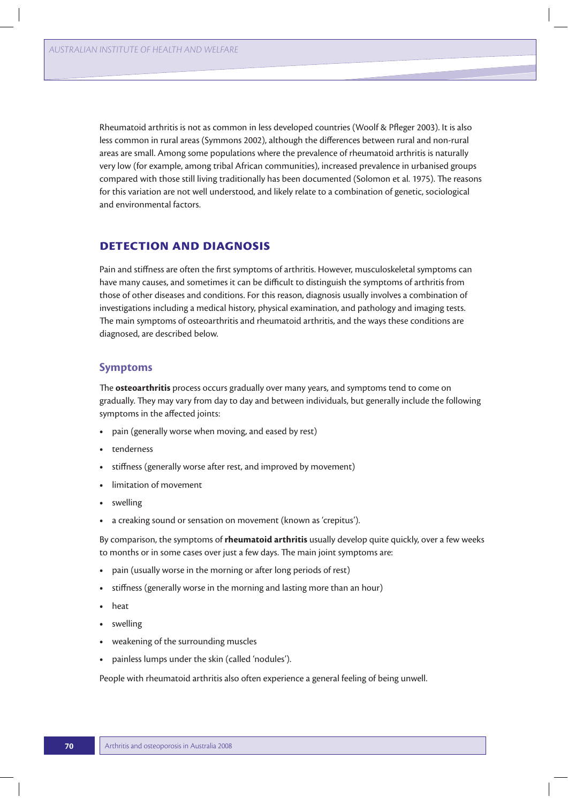Rheumatoid arthritis is not as common in less developed countries (Woolf & Pfleger 2003). It is also less common in rural areas (Symmons 2002), although the differences between rural and non-rural areas are small. Among some populations where the prevalence of rheumatoid arthritis is naturally very low (for example, among tribal African communities), increased prevalence in urbanised groups compared with those still living traditionally has been documented (Solomon et al. 1975). The reasons for this variation are not well understood, and likely relate to a combination of genetic, sociological and environmental factors.

# **Detection and diagnosis**

Pain and stiffness are often the first symptoms of arthritis. However, musculoskeletal symptoms can have many causes, and sometimes it can be difficult to distinguish the symptoms of arthritis from those of other diseases and conditions. For this reason, diagnosis usually involves a combination of investigations including a medical history, physical examination, and pathology and imaging tests. The main symptoms of osteoarthritis and rheumatoid arthritis, and the ways these conditions are diagnosed, are described below.

## **Symptoms**

The **osteoarthritis** process occurs gradually over many years, and symptoms tend to come on gradually. They may vary from day to day and between individuals, but generally include the following symptoms in the affected joints:

- pain (generally worse when moving, and eased by rest)
- **t** tenderness
- stiffness (generally worse after rest, and improved by movement)
- **t** limitation of movement
- **t** swelling
- **•** a creaking sound or sensation on movement (known as 'crepitus').

By comparison, the symptoms of **rheumatoid arthritis** usually develop quite quickly, over a few weeks to months or in some cases over just a few days. The main joint symptoms are:

- **t** pain (usually worse in the morning or after long periods of rest)
- **t** stiffness (generally worse in the morning and lasting more than an hour)
- **t** heat
- **t** swelling
- **t** weakening of the surrounding muscles
- painless lumps under the skin (called 'nodules').

People with rheumatoid arthritis also often experience a general feeling of being unwell.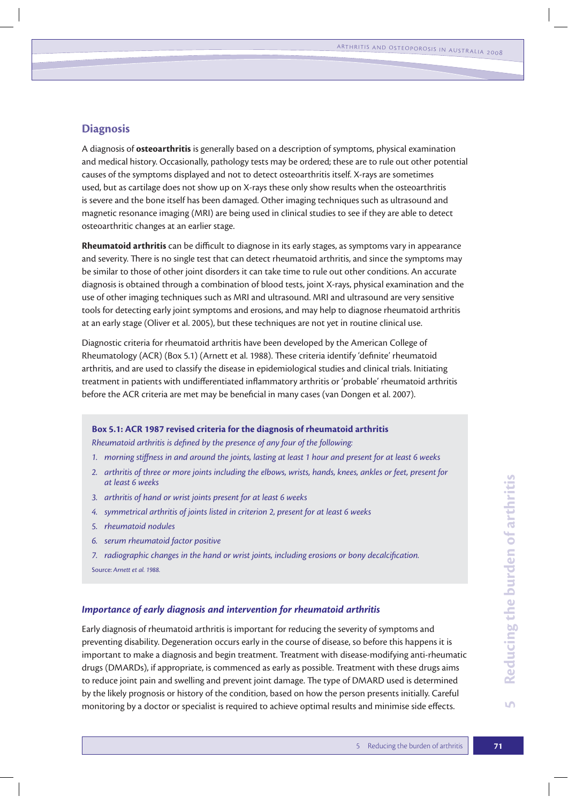# **Diagnosis**

A diagnosis of **osteoarthritis** is generally based on a description of symptoms, physical examination and medical history. Occasionally, pathology tests may be ordered; these are to rule out other potential causes of the symptoms displayed and not to detect osteoarthritis itself. X-rays are sometimes used, but as cartilage does not show up on X-rays these only show results when the osteoarthritis is severe and the bone itself has been damaged. Other imaging techniques such as ultrasound and magnetic resonance imaging (MRI) are being used in clinical studies to see if they are able to detect osteoarthritic changes at an earlier stage.

**Rheumatoid arthritis** can be difficult to diagnose in its early stages, as symptoms vary in appearance and severity. There is no single test that can detect rheumatoid arthritis, and since the symptoms may be similar to those of other joint disorders it can take time to rule out other conditions. An accurate diagnosis is obtained through a combination of blood tests, joint X-rays, physical examination and the use of other imaging techniques such as MRI and ultrasound. MRI and ultrasound are very sensitive tools for detecting early joint symptoms and erosions, and may help to diagnose rheumatoid arthritis at an early stage (Oliver et al. 2005), but these techniques are not yet in routine clinical use.

Diagnostic criteria for rheumatoid arthritis have been developed by the American College of Rheumatology (ACR) (Box 5.1) (Arnett et al. 1988). These criteria identify 'definite' rheumatoid arthritis, and are used to classify the disease in epidemiological studies and clinical trials. Initiating treatment in patients with undifferentiated inflammatory arthritis or 'probable' rheumatoid arthritis before the ACR criteria are met may be beneficial in many cases (van Dongen et al. 2007).

## **Box 5.1: ACR 1987 revised criteria for the diagnosis of rheumatoid arthritis**

*Rheumatoid arthritis is defined by the presence of any four of the following:*

- *1. morning stiffness in and around the joints, lasting at least 1 hour and present for at least 6 weeks*
- *2. arthritis of three or more joints including the elbows, wrists, hands, knees, ankles or feet, present for at least 6 weeks*
- *3. arthritis of hand or wrist joints present for at least 6 weeks*
- *4. symmetrical arthritis of joints listed in criterion 2, present for at least 6 weeks*
- *5. rheumatoid nodules*
- *6. serum rheumatoid factor positive*
- *7. radiographic changes in the hand or wrist joints, including erosions or bony decalcification.* Source: *Arnett et al. 1988.*

#### *Importance of early diagnosis and intervention for rheumatoid arthritis*

Early diagnosis of rheumatoid arthritis is important for reducing the severity of symptoms and preventing disability. Degeneration occurs early in the course of disease, so before this happens it is important to make a diagnosis and begin treatment. Treatment with disease-modifying anti-rheumatic drugs (DMARDs), if appropriate, is commenced as early as possible. Treatment with these drugs aims to reduce joint pain and swelling and prevent joint damage. The type of DMARD used is determined by the likely prognosis or history of the condition, based on how the person presents initially. Careful monitoring by a doctor or specialist is required to achieve optimal results and minimise side effects.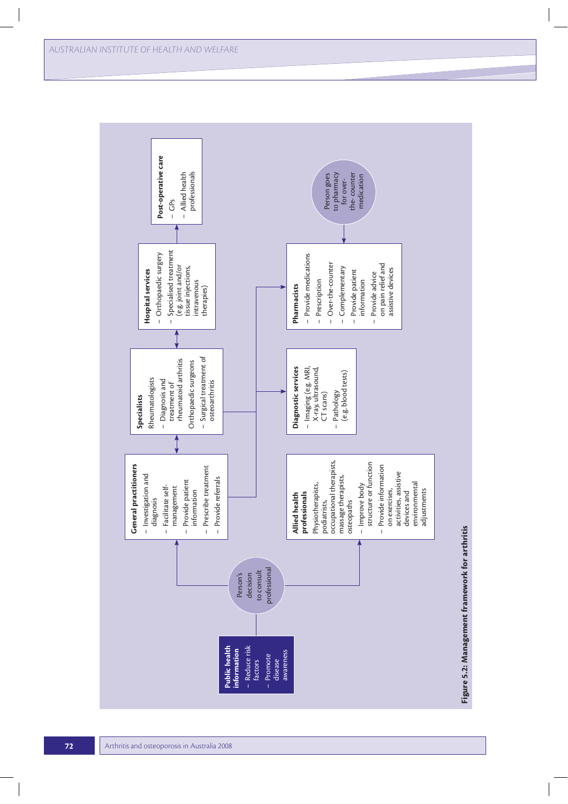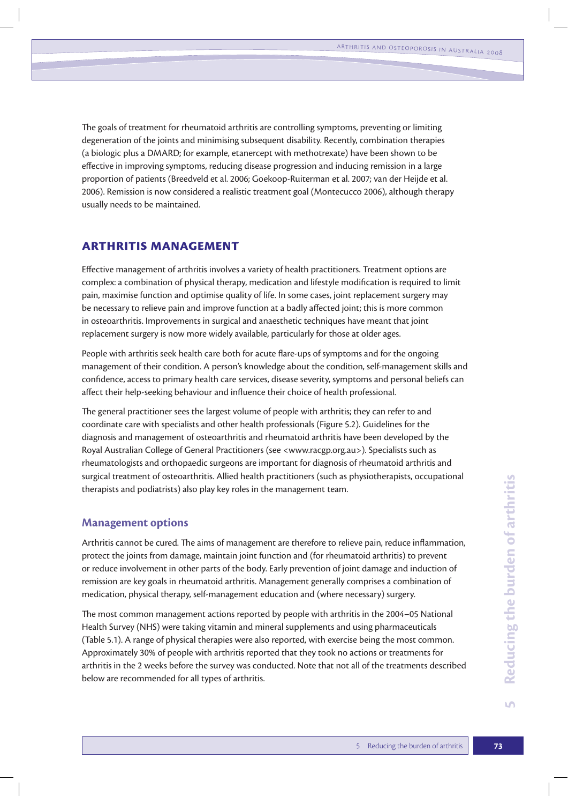The goals of treatment for rheumatoid arthritis are controlling symptoms, preventing or limiting degeneration of the joints and minimising subsequent disability. Recently, combination therapies (a biologic plus a DMARD; for example, etanercept with methotrexate) have been shown to be effective in improving symptoms, reducing disease progression and inducing remission in a large proportion of patients (Breedveld et al. 2006; Goekoop-Ruiterman et al. 2007; van der Heijde et al. 2006). Remission is now considered a realistic treatment goal (Montecucco 2006), although therapy usually needs to be maintained.

# **Arthritis management**

Effective management of arthritis involves a variety of health practitioners. Treatment options are complex: a combination of physical therapy, medication and lifestyle modification is required to limit pain, maximise function and optimise quality of life. In some cases, joint replacement surgery may be necessary to relieve pain and improve function at a badly affected joint; this is more common in osteoarthritis. Improvements in surgical and anaesthetic techniques have meant that joint replacement surgery is now more widely available, particularly for those at older ages.

People with arthritis seek health care both for acute flare-ups of symptoms and for the ongoing management of their condition. A person's knowledge about the condition, self-management skills and confidence, access to primary health care services, disease severity, symptoms and personal beliefs can affect their help-seeking behaviour and influence their choice of health professional.

The general practitioner sees the largest volume of people with arthritis; they can refer to and coordinate care with specialists and other health professionals (Figure 5.2). Guidelines for the diagnosis and management of osteoarthritis and rheumatoid arthritis have been developed by the Royal Australian College of General Practitioners (see <www.racgp.org.au>). Specialists such as rheumatologists and orthopaedic surgeons are important for diagnosis of rheumatoid arthritis and surgical treatment of osteoarthritis. Allied health practitioners (such as physiotherapists, occupational therapists and podiatrists) also play key roles in the management team.

## **Management options**

Arthritis cannot be cured. The aims of management are therefore to relieve pain, reduce inflammation, protect the joints from damage, maintain joint function and (for rheumatoid arthritis) to prevent or reduce involvement in other parts of the body. Early prevention of joint damage and induction of remission are key goals in rheumatoid arthritis. Management generally comprises a combination of medication, physical therapy, self-management education and (where necessary) surgery.

The most common management actions reported by people with arthritis in the 2004–05 National Health Survey (NHS) were taking vitamin and mineral supplements and using pharmaceuticals (Table 5.1). A range of physical therapies were also reported, with exercise being the most common. Approximately 30% of people with arthritis reported that they took no actions or treatments for arthritis in the 2 weeks before the survey was conducted. Note that not all of the treatments described below are recommended for all types of arthritis.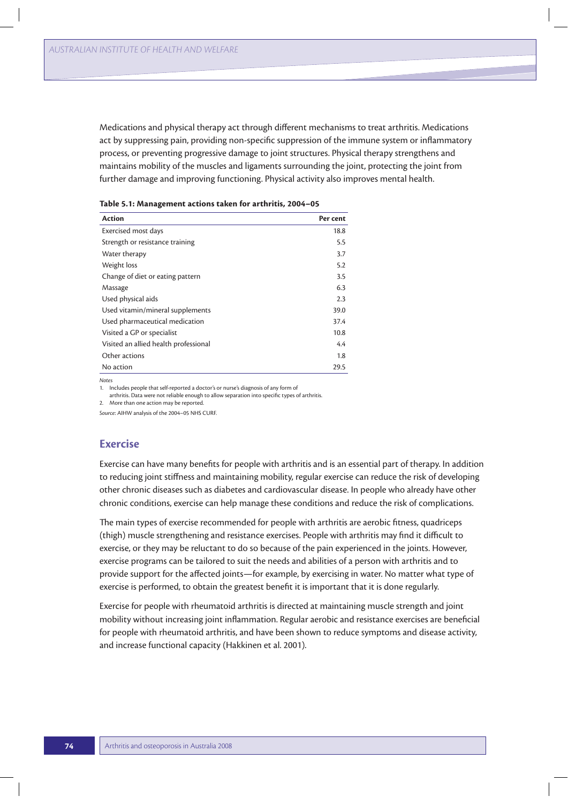Medications and physical therapy act through different mechanisms to treat arthritis. Medications act by suppressing pain, providing non-specific suppression of the immune system or inflammatory process, or preventing progressive damage to joint structures. Physical therapy strengthens and maintains mobility of the muscles and ligaments surrounding the joint, protecting the joint from further damage and improving functioning. Physical activity also improves mental health.

| <b>Action</b>                         | Per cent |
|---------------------------------------|----------|
| Exercised most days                   | 18.8     |
| Strength or resistance training       | 5.5      |
| Water therapy                         | 3.7      |
| Weight loss                           | 5.2      |
| Change of diet or eating pattern      | 3.5      |
| Massage                               | 6.3      |
| Used physical aids                    | 2.3      |
| Used vitamin/mineral supplements      | 39.0     |
| Used pharmaceutical medication        | 37.4     |
| Visited a GP or specialist            | 10.8     |
| Visited an allied health professional | 4.4      |
| Other actions                         | 1.8      |
| No action                             | 29.5     |

| Table 5.1: Management actions taken for arthritis, 2004–05 |  |  |  |
|------------------------------------------------------------|--|--|--|
|------------------------------------------------------------|--|--|--|

*Notes*

1. Includes people that self-reported a doctor's or nurse's diagnosis of any form of

arthritis. Data were not reliable enough to allow separation into specific types of arthritis.

2. More than one action may be reported.

*Source*: AIHW analysis of the 2004–05 NHS CURF.

## **Exercise**

Exercise can have many benefits for people with arthritis and is an essential part of therapy. In addition to reducing joint stiffness and maintaining mobility, regular exercise can reduce the risk of developing other chronic diseases such as diabetes and cardiovascular disease. In people who already have other chronic conditions, exercise can help manage these conditions and reduce the risk of complications.

The main types of exercise recommended for people with arthritis are aerobic fitness, quadriceps (thigh) muscle strengthening and resistance exercises. People with arthritis may find it difficult to exercise, or they may be reluctant to do so because of the pain experienced in the joints. However, exercise programs can be tailored to suit the needs and abilities of a person with arthritis and to provide support for the affected joints—for example, by exercising in water. No matter what type of exercise is performed, to obtain the greatest benefit it is important that it is done regularly.

Exercise for people with rheumatoid arthritis is directed at maintaining muscle strength and joint mobility without increasing joint inflammation. Regular aerobic and resistance exercises are beneficial for people with rheumatoid arthritis, and have been shown to reduce symptoms and disease activity, and increase functional capacity (Hakkinen et al. 2001).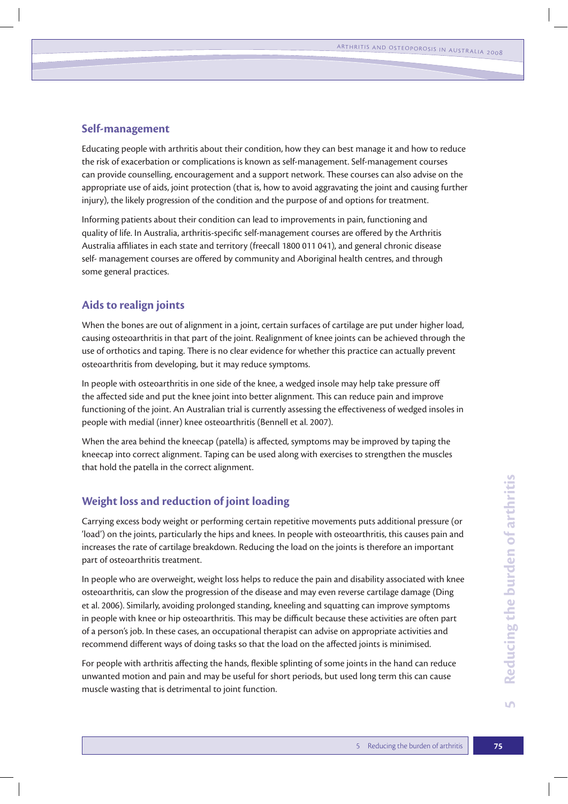# **Self-management**

Educating people with arthritis about their condition, how they can best manage it and how to reduce the risk of exacerbation or complications is known as self-management. Self-management courses can provide counselling, encouragement and a support network. These courses can also advise on the appropriate use of aids, joint protection (that is, how to avoid aggravating the joint and causing further injury), the likely progression of the condition and the purpose of and options for treatment.

Informing patients about their condition can lead to improvements in pain, functioning and quality of life. In Australia, arthritis-specific self-management courses are offered by the Arthritis Australia affiliates in each state and territory (freecall 1800 011 041), and general chronic disease self- management courses are offered by community and Aboriginal health centres, and through some general practices.

# **Aids to realign joints**

When the bones are out of alignment in a joint, certain surfaces of cartilage are put under higher load, causing osteoarthritis in that part of the joint. Realignment of knee joints can be achieved through the use of orthotics and taping. There is no clear evidence for whether this practice can actually prevent osteoarthritis from developing, but it may reduce symptoms.

In people with osteoarthritis in one side of the knee, a wedged insole may help take pressure off the affected side and put the knee joint into better alignment. This can reduce pain and improve functioning of the joint. An Australian trial is currently assessing the effectiveness of wedged insoles in people with medial (inner) knee osteoarthritis (Bennell et al. 2007).

When the area behind the kneecap (patella) is affected, symptoms may be improved by taping the kneecap into correct alignment. Taping can be used along with exercises to strengthen the muscles that hold the patella in the correct alignment.

# **Weight loss and reduction of joint loading**

Carrying excess body weight or performing certain repetitive movements puts additional pressure (or 'load') on the joints, particularly the hips and knees. In people with osteoarthritis, this causes pain and increases the rate of cartilage breakdown. Reducing the load on the joints is therefore an important part of osteoarthritis treatment.

In people who are overweight, weight loss helps to reduce the pain and disability associated with knee osteoarthritis, can slow the progression of the disease and may even reverse cartilage damage (Ding et al. 2006). Similarly, avoiding prolonged standing, kneeling and squatting can improve symptoms in people with knee or hip osteoarthritis. This may be difficult because these activities are often part of a person's job. In these cases, an occupational therapist can advise on appropriate activities and recommend different ways of doing tasks so that the load on the affected joints is minimised.

For people with arthritis affecting the hands, flexible splinting of some joints in the hand can reduce unwanted motion and pain and may be useful for short periods, but used long term this can cause muscle wasting that is detrimental to joint function.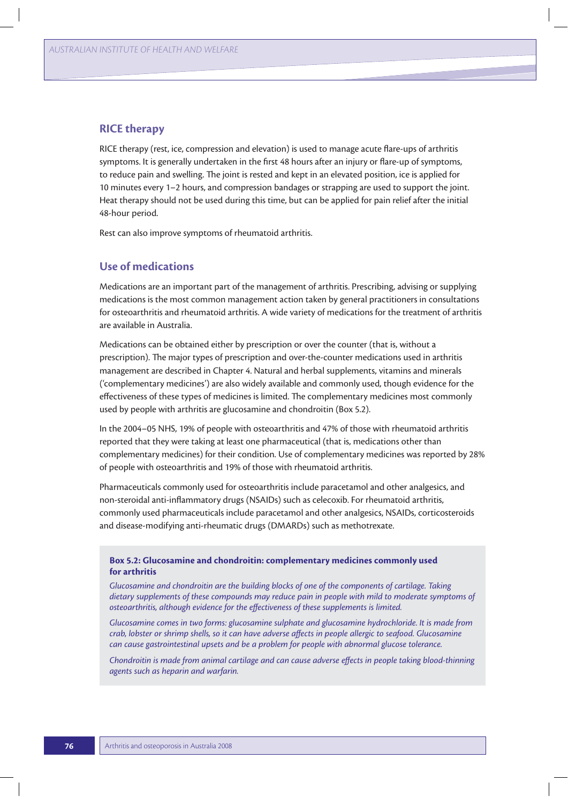## **RICE therapy**

RICE therapy (rest, ice, compression and elevation) is used to manage acute flare-ups of arthritis symptoms. It is generally undertaken in the first 48 hours after an injury or flare-up of symptoms, to reduce pain and swelling. The joint is rested and kept in an elevated position, ice is applied for 10 minutes every 1–2 hours, and compression bandages or strapping are used to support the joint. Heat therapy should not be used during this time, but can be applied for pain relief after the initial 48-hour period.

Rest can also improve symptoms of rheumatoid arthritis.

# **Use of medications**

Medications are an important part of the management of arthritis. Prescribing, advising or supplying medications is the most common management action taken by general practitioners in consultations for osteoarthritis and rheumatoid arthritis. A wide variety of medications for the treatment of arthritis are available in Australia.

Medications can be obtained either by prescription or over the counter (that is, without a prescription). The major types of prescription and over-the-counter medications used in arthritis management are described in Chapter 4. Natural and herbal supplements, vitamins and minerals ('complementary medicines') are also widely available and commonly used, though evidence for the effectiveness of these types of medicines is limited. The complementary medicines most commonly used by people with arthritis are glucosamine and chondroitin (Box 5.2).

In the 2004–05 NHS, 19% of people with osteoarthritis and 47% of those with rheumatoid arthritis reported that they were taking at least one pharmaceutical (that is, medications other than complementary medicines) for their condition. Use of complementary medicines was reported by 28% of people with osteoarthritis and 19% of those with rheumatoid arthritis.

Pharmaceuticals commonly used for osteoarthritis include paracetamol and other analgesics, and non-steroidal anti-inflammatory drugs (NSAIDs) such as celecoxib. For rheumatoid arthritis, commonly used pharmaceuticals include paracetamol and other analgesics, NSAIDs, corticosteroids and disease-modifying anti-rheumatic drugs (DMARDs) such as methotrexate.

## **Box 5.2: Glucosamine and chondroitin: complementary medicines commonly used for arthritis**

*Glucosamine and chondroitin are the building blocks of one of the components of cartilage. Taking dietary supplements of these compounds may reduce pain in people with mild to moderate symptoms of osteoarthritis, although evidence for the effectiveness of these supplements is limited.* 

*Glucosamine comes in two forms: glucosamine sulphate and glucosamine hydrochloride. It is made from crab, lobster or shrimp shells, so it can have adverse affects in people allergic to seafood. Glucosamine can cause gastrointestinal upsets and be a problem for people with abnormal glucose tolerance.* 

*Chondroitin is made from animal cartilage and can cause adverse effects in people taking blood-thinning agents such as heparin and warfarin.*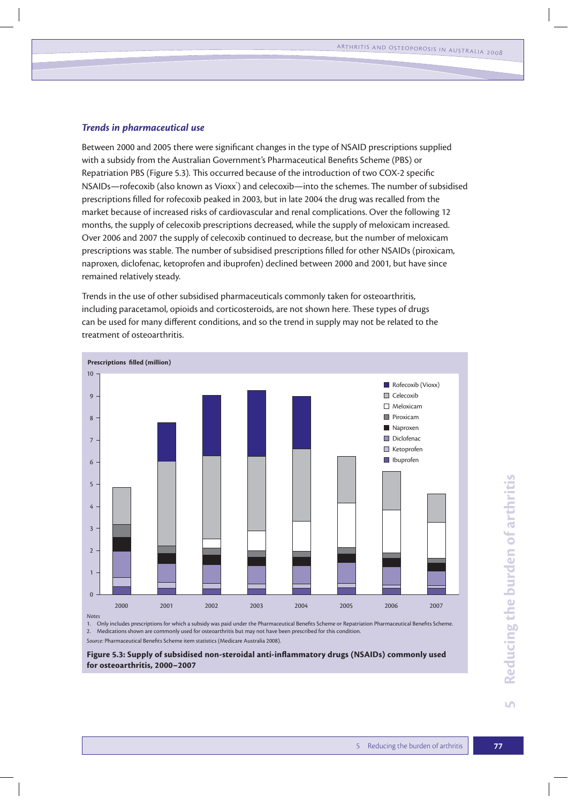#### *Trends in pharmaceutical use*

Between 2000 and 2005 there were significant changes in the type of NSAID prescriptions supplied with a subsidy from the Australian Government's Pharmaceutical Benefits Scheme (PBS) or Repatriation PBS (Figure 5.3). This occurred because of the introduction of two COX-2 specific NSAIDs—rofecoxib (also known as Vioxx $\hat{\ }$ ) and celecoxib—into the schemes. The number of subsidised prescriptions filled for rofecoxib peaked in 2003, but in late 2004 the drug was recalled from the market because of increased risks of cardiovascular and renal complications. Over the following 12 months, the supply of celecoxib prescriptions decreased, while the supply of meloxicam increased. Over 2006 and 2007 the supply of celecoxib continued to decrease, but the number of meloxicam prescriptions was stable. The number of subsidised prescriptions filled for other NSAIDs (piroxicam, naproxen, diclofenac, ketoprofen and ibuprofen) declined between 2000 and 2001, but have since remained relatively steady.

Trends in the use of other subsidised pharmaceuticals commonly taken for osteoarthritis, including paracetamol, opioids and corticosteroids, are not shown here. These types of drugs can be used for many different conditions, and so the trend in supply may not be related to the treatment of osteoarthritis.



1. Only includes prescriptions for which a subsidy was paid under the Pharmaceutical Benefits Scheme or Repatriation Pharmaceutical Benefits Scheme. 2. Medications shown are commonly used for osteoarthritis but may not have been prescribed for this condition.

*Source:* Pharmaceutical Benefits Scheme item statistics (Medicare Australia 2008).

**Figure 5.3: Supply of subsidised non-steroidal anti-inflammatory drugs (NSAIDs) commonly used for osteoarthritis, 2000–2007**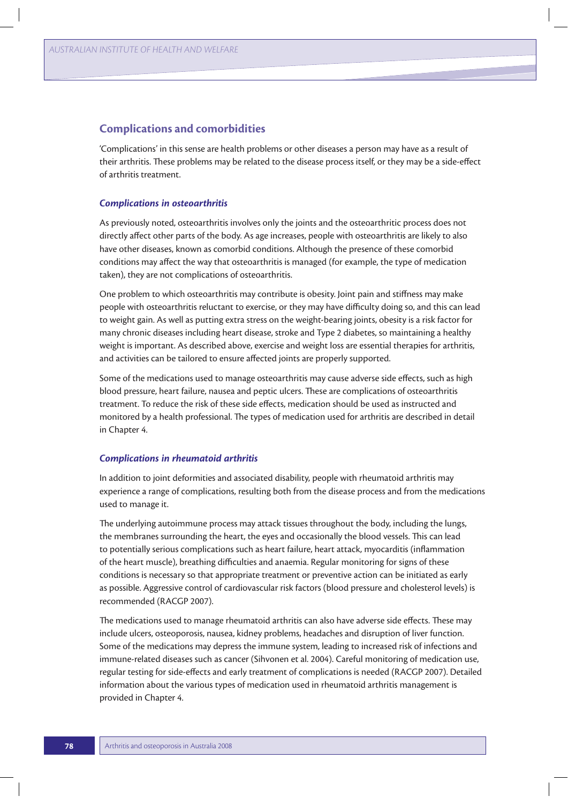## **Complications and comorbidities**

'Complications' in this sense are health problems or other diseases a person may have as a result of their arthritis. These problems may be related to the disease process itself, or they may be a side-effect of arthritis treatment.

### *Complications in osteoarthritis*

As previously noted, osteoarthritis involves only the joints and the osteoarthritic process does not directly affect other parts of the body. As age increases, people with osteoarthritis are likely to also have other diseases, known as comorbid conditions. Although the presence of these comorbid conditions may affect the way that osteoarthritis is managed (for example, the type of medication taken), they are not complications of osteoarthritis.

One problem to which osteoarthritis may contribute is obesity. Joint pain and stiffness may make people with osteoarthritis reluctant to exercise, or they may have difficulty doing so, and this can lead to weight gain. As well as putting extra stress on the weight-bearing joints, obesity is a risk factor for many chronic diseases including heart disease, stroke and Type 2 diabetes, so maintaining a healthy weight is important. As described above, exercise and weight loss are essential therapies for arthritis, and activities can be tailored to ensure affected joints are properly supported.

Some of the medications used to manage osteoarthritis may cause adverse side effects, such as high blood pressure, heart failure, nausea and peptic ulcers. These are complications of osteoarthritis treatment. To reduce the risk of these side effects, medication should be used as instructed and monitored by a health professional. The types of medication used for arthritis are described in detail in Chapter 4.

## *Complications in rheumatoid arthritis*

In addition to joint deformities and associated disability, people with rheumatoid arthritis may experience a range of complications, resulting both from the disease process and from the medications used to manage it.

The underlying autoimmune process may attack tissues throughout the body, including the lungs, the membranes surrounding the heart, the eyes and occasionally the blood vessels. This can lead to potentially serious complications such as heart failure, heart attack, myocarditis (inflammation of the heart muscle), breathing difficulties and anaemia. Regular monitoring for signs of these conditions is necessary so that appropriate treatment or preventive action can be initiated as early as possible. Aggressive control of cardiovascular risk factors (blood pressure and cholesterol levels) is recommended (RACGP 2007).

The medications used to manage rheumatoid arthritis can also have adverse side effects. These may include ulcers, osteoporosis, nausea, kidney problems, headaches and disruption of liver function. Some of the medications may depress the immune system, leading to increased risk of infections and immune-related diseases such as cancer (Sihvonen et al. 2004). Careful monitoring of medication use, regular testing for side-effects and early treatment of complications is needed (RACGP 2007). Detailed information about the various types of medication used in rheumatoid arthritis management is provided in Chapter 4.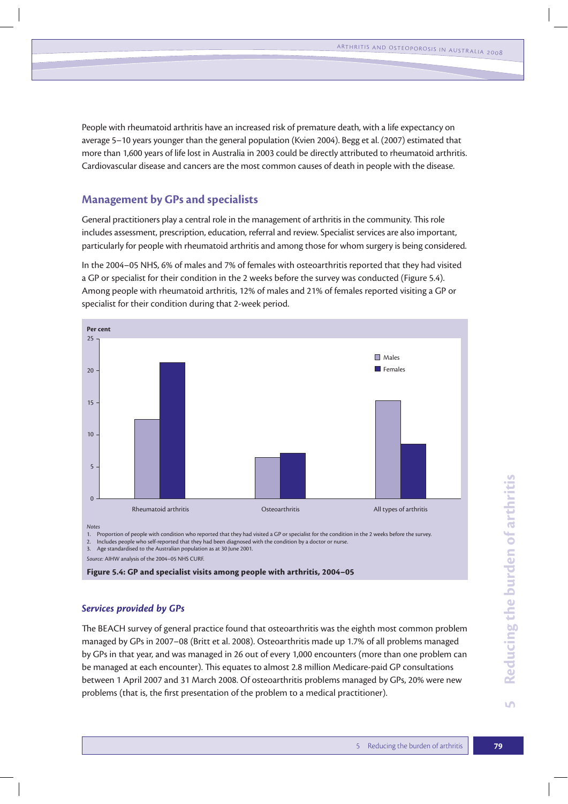People with rheumatoid arthritis have an increased risk of premature death, with a life expectancy on average 5–10 years younger than the general population (Kvien 2004). Begg et al. (2007) estimated that more than 1,600 years of life lost in Australia in 2003 could be directly attributed to rheumatoid arthritis. Cardiovascular disease and cancers are the most common causes of death in people with the disease.

# **Management by GPs and specialists**

General practitioners play a central role in the management of arthritis in the community. This role includes assessment, prescription, education, referral and review. Specialist services are also important, particularly for people with rheumatoid arthritis and among those for whom surgery is being considered.

In the 2004–05 NHS, 6% of males and 7% of females with osteoarthritis reported that they had visited a GP or specialist for their condition in the 2 weeks before the survey was conducted (Figure 5.4). Among people with rheumatoid arthritis, 12% of males and 21% of females reported visiting a GP or specialist for their condition during that 2-week period.



*Source:* AIHW analysis of the 2004–05 NHS CURF.

**Figure 5.4: GP and specialist visits among people with arthritis, 2004–05**

## *Services provided by GPs*

The BEACH survey of general practice found that osteoarthritis was the eighth most common problem managed by GPs in 2007–08 (Britt et al. 2008). Osteoarthritis made up 1.7% of all problems managed by GPs in that year, and was managed in 26 out of every 1,000 encounters (more than one problem can be managed at each encounter). This equates to almost 2.8 million Medicare-paid GP consultations between 1 April 2007 and 31 March 2008. Of osteoarthritis problems managed by GPs, 20% were new problems (that is, the first presentation of the problem to a medical practitioner).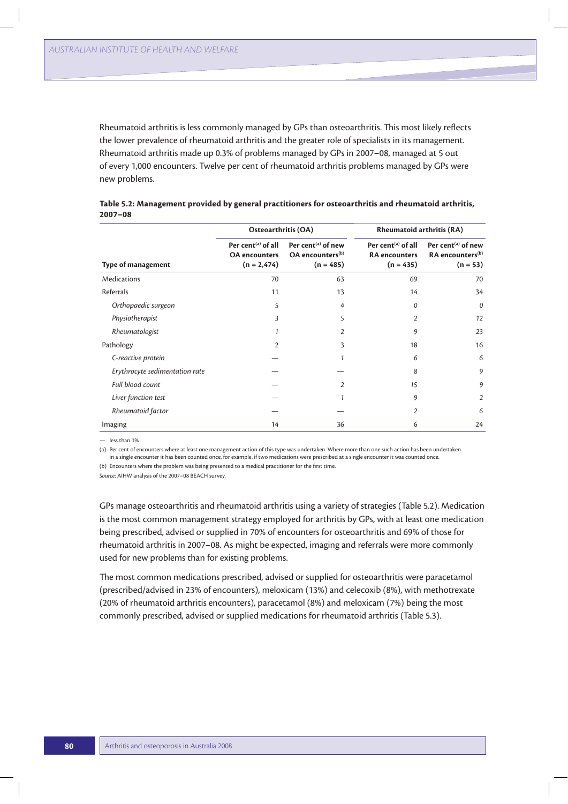Rheumatoid arthritis is less commonly managed by GPs than osteoarthritis. This most likely reflects the lower prevalence of rheumatoid arthritis and the greater role of specialists in its management. Rheumatoid arthritis made up 0.3% of problems managed by GPs in 2007–08, managed at 5 out of every 1,000 encounters. Twelve per cent of rheumatoid arthritis problems managed by GPs were new problems.

|                                | Osteoarthritis (OA)                                               |                                                                      | <b>Rheumatoid arthritis (RA)</b>                             |                                                                     |  |
|--------------------------------|-------------------------------------------------------------------|----------------------------------------------------------------------|--------------------------------------------------------------|---------------------------------------------------------------------|--|
| Type of management             | Per cent $^{(a)}$ of all<br><b>OA</b> encounters<br>$(n = 2,474)$ | Per cent $(a)$ of new<br>OA encounters <sup>(b)</sup><br>$(n = 485)$ | Per cent $(a)$ of all<br><b>RA</b> encounters<br>$(n = 435)$ | Per cent $(a)$ of new<br>RA encounters <sup>(b)</sup><br>$(n = 53)$ |  |
| <b>Medications</b>             | 70                                                                | 63                                                                   | 69                                                           | 70                                                                  |  |
| Referrals                      | 11                                                                | 13                                                                   | 14                                                           | 34                                                                  |  |
| Orthopaedic surgeon            | 5                                                                 | 4                                                                    | 0                                                            | $\Omega$                                                            |  |
| Physiotherapist                | 3                                                                 | 5                                                                    | $\overline{2}$                                               | 12                                                                  |  |
| Rheumatologist                 |                                                                   | $\overline{2}$                                                       | 9                                                            | 23                                                                  |  |
| Pathology                      | $\overline{2}$                                                    | 3                                                                    | 18                                                           | 16                                                                  |  |
| C-reactive protein             |                                                                   |                                                                      | 6                                                            | 6                                                                   |  |
| Erythrocyte sedimentation rate |                                                                   |                                                                      | 8                                                            | 9                                                                   |  |
| Full blood count               |                                                                   | $\overline{2}$                                                       | 15                                                           | 9                                                                   |  |
| Liver function test            |                                                                   |                                                                      | 9                                                            | $\overline{2}$                                                      |  |
| Rheumatoid factor              |                                                                   |                                                                      | $\overline{2}$                                               | 6                                                                   |  |
| Imaging                        | 14                                                                | 36                                                                   | 6                                                            | 24                                                                  |  |

| Table 5.2: Management provided by general practitioners for osteoarthritis and rheumatoid arthritis, |  |
|------------------------------------------------------------------------------------------------------|--|
| $2007 - 08$                                                                                          |  |

 $=$  less than 1%

(a) Per cent of encounters where at least one management action of this type was undertaken. Where more than one such action has been undertaken in a single encounter it has been counted once, for example, if two medications were prescribed at a single encounter it was counted once.

(b) Encounters where the problem was being presented to a medical practitioner for the first time.

*Source*: AIHW analysis of the 2007–08 BEACH survey.

GPs manage osteoarthritis and rheumatoid arthritis using a variety of strategies (Table 5.2). Medication is the most common management strategy employed for arthritis by GPs, with at least one medication being prescribed, advised or supplied in 70% of encounters for osteoarthritis and 69% of those for rheumatoid arthritis in 2007–08. As might be expected, imaging and referrals were more commonly used for new problems than for existing problems.

The most common medications prescribed, advised or supplied for osteoarthritis were paracetamol (prescribed/advised in 23% of encounters), meloxicam (13%) and celecoxib (8%), with methotrexate (20% of rheumatoid arthritis encounters), paracetamol (8%) and meloxicam (7%) being the most commonly prescribed, advised or supplied medications for rheumatoid arthritis (Table 5.3).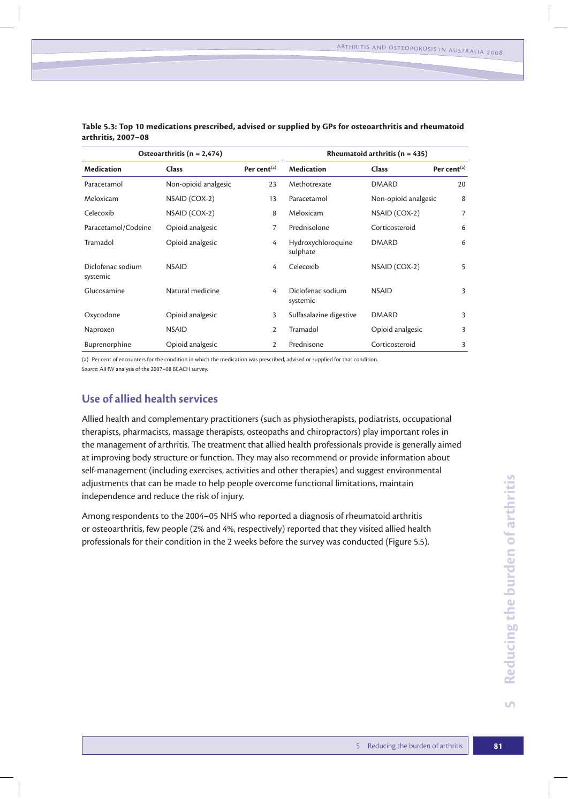| Osteoarthritis ( $n = 2,474$ ) |                      |                | Rheumatoid arthritis ( $n = 435$ ) |                      |                         |
|--------------------------------|----------------------|----------------|------------------------------------|----------------------|-------------------------|
| <b>Medication</b>              | <b>Class</b>         | Per cent $(a)$ | <b>Medication</b>                  | <b>Class</b>         | Per cent <sup>(a)</sup> |
| Paracetamol                    | Non-opioid analgesic | 23             | Methotrexate                       | <b>DMARD</b>         | 20                      |
| Meloxicam                      | NSAID (COX-2)        | 13             | Paracetamol                        | Non-opioid analgesic | 8                       |
| Celecoxib                      | NSAID (COX-2)        | 8              | Meloxicam                          | NSAID (COX-2)        | 7                       |
| Paracetamol/Codeine            | Opioid analgesic     | 7              | Prednisolone                       | Corticosteroid       | 6                       |
| Tramadol                       | Opioid analgesic     | 4              | Hydroxychloroquine<br>sulphate     | <b>DMARD</b>         | 6                       |
| Diclofenac sodium<br>systemic  | <b>NSAID</b>         | 4              | Celecoxib                          | NSAID (COX-2)        | 5                       |
| Glucosamine                    | Natural medicine     | 4              | Diclofenac sodium<br>systemic      | <b>NSAID</b>         | 3                       |
| Oxycodone                      | Opioid analgesic     | 3              | Sulfasalazine digestive            | <b>DMARD</b>         | 3                       |
| Naproxen                       | <b>NSAID</b>         | $\overline{2}$ | Tramadol                           | Opioid analgesic     | 3                       |
| <b>Buprenorphine</b>           | Opioid analgesic     | 2              | Prednisone                         | Corticosteroid       | 3                       |

**Table 5.3: Top 10 medications prescribed, advised or supplied by GPs for osteoarthritis and rheumatoid arthritis, 2007–08**

(a) Per cent of encounters for the condition in which the medication was prescribed, advised or supplied for that condition. *Source:* AIHW analysis of the 2007–08 BEACH survey.

# **Use of allied health services**

Allied health and complementary practitioners (such as physiotherapists, podiatrists, occupational therapists, pharmacists, massage therapists, osteopaths and chiropractors) play important roles in the management of arthritis. The treatment that allied health professionals provide is generally aimed at improving body structure or function. They may also recommend or provide information about self-management (including exercises, activities and other therapies) and suggest environmental adjustments that can be made to help people overcome functional limitations, maintain independence and reduce the risk of injury.

Among respondents to the 2004–05 NHS who reported a diagnosis of rheumatoid arthritis or osteoarthritis, few people (2% and 4%, respectively) reported that they visited allied health professionals for their condition in the 2 weeks before the survey was conducted (Figure 5.5).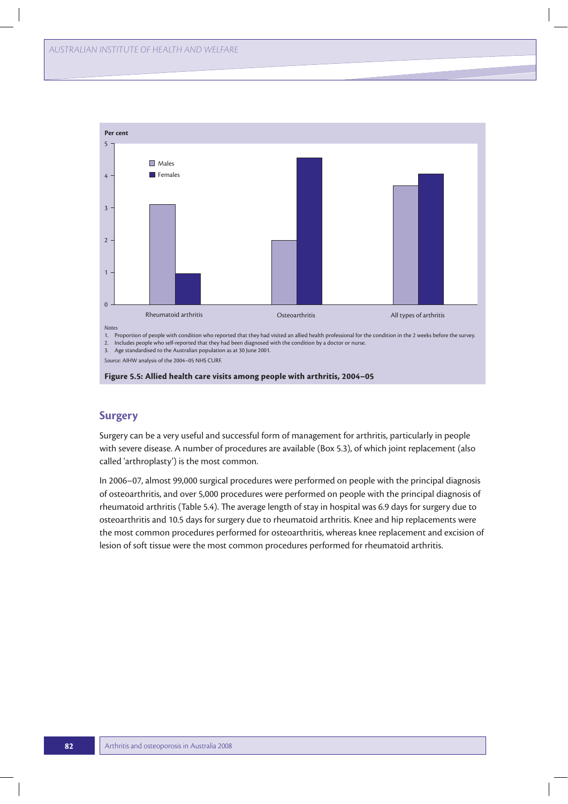

#### **Figure 5.5: Allied health care visits among people with arthritis, 2004–05**

# **Surgery**

Surgery can be a very useful and successful form of management for arthritis, particularly in people with severe disease. A number of procedures are available (Box 5.3), of which joint replacement (also called 'arthroplasty') is the most common.

In 2006–07, almost 99,000 surgical procedures were performed on people with the principal diagnosis of osteoarthritis, and over 5,000 procedures were performed on people with the principal diagnosis of rheumatoid arthritis (Table 5.4). The average length of stay in hospital was 6.9 days for surgery due to osteoarthritis and 10.5 days for surgery due to rheumatoid arthritis. Knee and hip replacements were the most common procedures performed for osteoarthritis, whereas knee replacement and excision of lesion of soft tissue were the most common procedures performed for rheumatoid arthritis.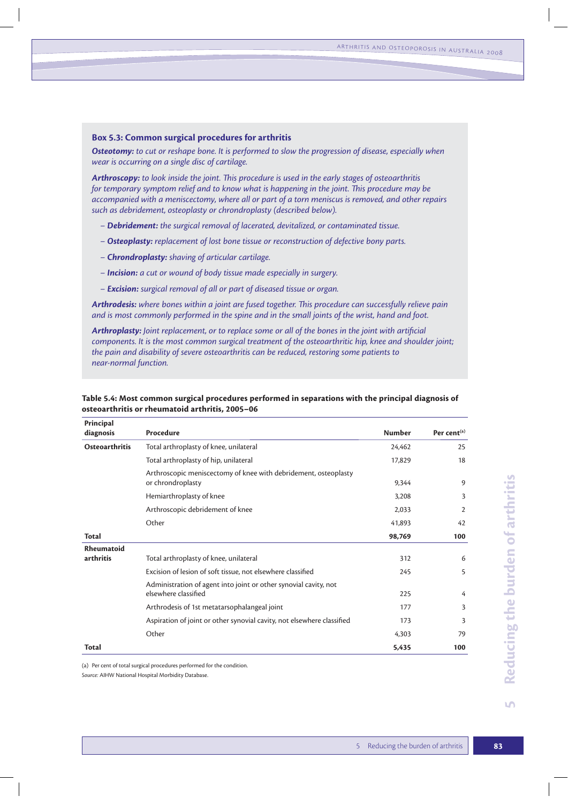#### **Box 5.3: Common surgical procedures for arthritis**

*Osteotomy: to cut or reshape bone. It is performed to slow the progression of disease, especially when wear is occurring on a single disc of cartilage.*

*Arthroscopy: to look inside the joint. This procedure is used in the early stages of osteoarthritis for temporary symptom relief and to know what is happening in the joint. This procedure may be accompanied with a meniscectomy, where all or part of a torn meniscus is removed, and other repairs such as debridement, osteoplasty or chrondroplasty (described below).*

- *Debridement: the surgical removal of lacerated, devitalized, or contaminated tissue.*
- *Osteoplasty: replacement of lost bone tissue or reconstruction of defective bony parts.*
- *Chrondroplasty: shaving of articular cartilage.*
- *Incision: a cut or wound of body tissue made especially in surgery.*
- *Excision: surgical removal of all or part of diseased tissue or organ.*

*Arthrodesis: where bones within a joint are fused together. This procedure can successfully relieve pain and is most commonly performed in the spine and in the small joints of the wrist, hand and foot.*

*Arthroplasty: Joint replacement, or to replace some or all of the bones in the joint with artificial components. It is the most common surgical treatment of the osteoarthritic hip, knee and shoulder joint; the pain and disability of severe osteoarthritis can be reduced, restoring some patients to near-normal function.*

| Principal<br>diagnosis | Procedure                                                                                | <b>Number</b> | Per cent $(a)$ |
|------------------------|------------------------------------------------------------------------------------------|---------------|----------------|
| Osteoarthritis         | Total arthroplasty of knee, unilateral                                                   | 24.462        | 25             |
|                        | Total arthroplasty of hip, unilateral                                                    | 17,829        | 18             |
|                        | Arthroscopic meniscectomy of knee with debridement, osteoplasty<br>or chrondroplasty     | 9,344         | 9              |
|                        | Hemiarthroplasty of knee                                                                 | 3,208         | 3              |
|                        | Arthroscopic debridement of knee                                                         | 2,033         | $\overline{2}$ |
|                        | Other                                                                                    | 41,893        | 42             |
| Total                  |                                                                                          | 98,769        | 100            |
| Rheumatoid             |                                                                                          |               |                |
| arthritis              | Total arthroplasty of knee, unilateral                                                   | 312           | 6              |
|                        | Excision of lesion of soft tissue, not elsewhere classified                              | 245           | 5              |
|                        | Administration of agent into joint or other synovial cavity, not<br>elsewhere classified | 225           | 4              |
|                        | Arthrodesis of 1st metatarsophalangeal joint                                             | 177           | 3              |
|                        | Aspiration of joint or other synovial cavity, not elsewhere classified                   | 173           | 3              |
|                        | Other                                                                                    | 4,303         | 79             |
| <b>Total</b>           |                                                                                          | 5,435         | 100            |

**Table 5.4: Most common surgical procedures performed in separations with the principal diagnosis of osteoarthritis or rheumatoid arthritis, 2005–06**

(a) Per cent of total surgical procedures performed for the condition.

*Source:* AIHW National Hospital Morbidity Database.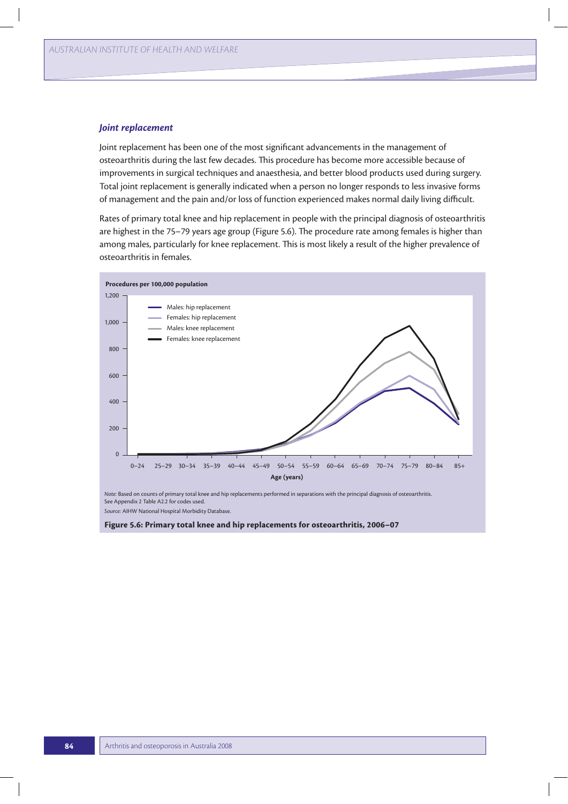#### *Joint replacement*

Joint replacement has been one of the most significant advancements in the management of osteoarthritis during the last few decades. This procedure has become more accessible because of improvements in surgical techniques and anaesthesia, and better blood products used during surgery. Total joint replacement is generally indicated when a person no longer responds to less invasive forms of management and the pain and/or loss of function experienced makes normal daily living difficult.

Rates of primary total knee and hip replacement in people with the principal diagnosis of osteoarthritis are highest in the 75–79 years age group (Figure 5.6). The procedure rate among females is higher than among males, particularly for knee replacement. This is most likely a result of the higher prevalence of osteoarthritis in females.



See Appendix 2 Table A2.2 for codes used. *Source:* AIHW National Hospital Morbidity Database.

**Figure 5.6: Primary total knee and hip replacements for osteoarthritis, 2006–07**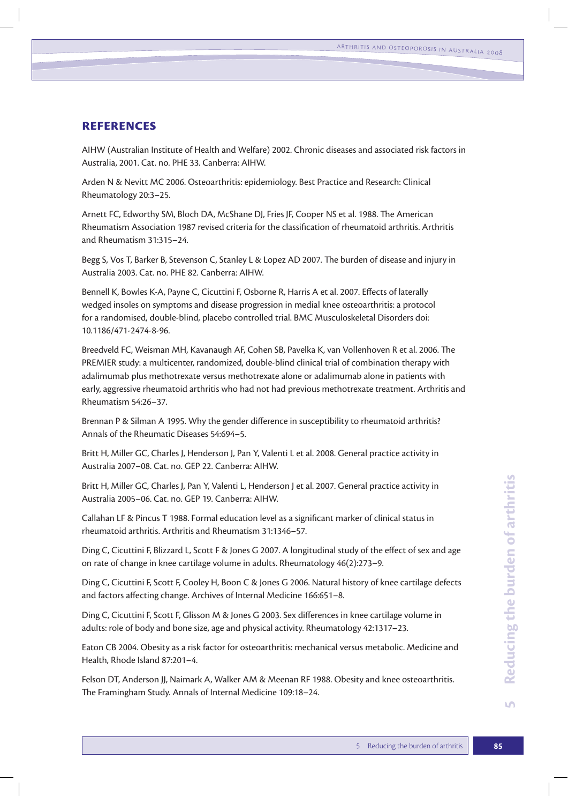# **References**

AIHW (Australian Institute of Health and Welfare) 2002. Chronic diseases and associated risk factors in Australia, 2001. Cat. no. PHE 33. Canberra: AIHW.

Arden N & Nevitt MC 2006. Osteoarthritis: epidemiology. Best Practice and Research: Clinical Rheumatology 20:3–25.

Arnett FC, Edworthy SM, Bloch DA, McShane DJ, Fries JF, Cooper NS et al. 1988. The American Rheumatism Association 1987 revised criteria for the classification of rheumatoid arthritis. Arthritis and Rheumatism 31:315–24.

Begg S, Vos T, Barker B, Stevenson C, Stanley L & Lopez AD 2007. The burden of disease and injury in Australia 2003. Cat. no. PHE 82. Canberra: AIHW.

Bennell K, Bowles K-A, Payne C, Cicuttini F, Osborne R, Harris A et al. 2007. Effects of laterally wedged insoles on symptoms and disease progression in medial knee osteoarthritis: a protocol for a randomised, double-blind, placebo controlled trial. BMC Musculoskeletal Disorders doi: 10.1186/471-2474-8-96.

Breedveld FC, Weisman MH, Kavanaugh AF, Cohen SB, Pavelka K, van Vollenhoven R et al. 2006. The PREMIER study: a multicenter, randomized, double-blind clinical trial of combination therapy with adalimumab plus methotrexate versus methotrexate alone or adalimumab alone in patients with early, aggressive rheumatoid arthritis who had not had previous methotrexate treatment. Arthritis and Rheumatism 54:26–37.

Brennan P & Silman A 1995. Why the gender difference in susceptibility to rheumatoid arthritis? Annals of the Rheumatic Diseases 54:694–5.

Britt H, Miller GC, Charles J, Henderson J, Pan Y, Valenti L et al. 2008. General practice activity in Australia 2007–08. Cat. no. GEP 22. Canberra: AIHW.

Britt H, Miller GC, Charles J, Pan Y, Valenti L, Henderson J et al. 2007. General practice activity in Australia 2005–06. Cat. no. GEP 19. Canberra: AIHW.

Callahan LF & Pincus T 1988. Formal education level as a significant marker of clinical status in rheumatoid arthritis. Arthritis and Rheumatism 31:1346–57.

Ding C, Cicuttini F, Blizzard L, Scott F & Jones G 2007. A longitudinal study of the effect of sex and age on rate of change in knee cartilage volume in adults. Rheumatology 46(2):273–9.

Ding C, Cicuttini F, Scott F, Cooley H, Boon C & Jones G 2006. Natural history of knee cartilage defects and factors affecting change. Archives of Internal Medicine 166:651–8.

Ding C, Cicuttini F, Scott F, Glisson M & Jones G 2003. Sex differences in knee cartilage volume in adults: role of body and bone size, age and physical activity. Rheumatology 42:1317–23.

Eaton CB 2004. Obesity as a risk factor for osteoarthritis: mechanical versus metabolic. Medicine and Health, Rhode Island 87:201–4.

Felson DT, Anderson JJ, Naimark A, Walker AM & Meenan RF 1988. Obesity and knee osteoarthritis. The Framingham Study. Annals of Internal Medicine 109:18–24.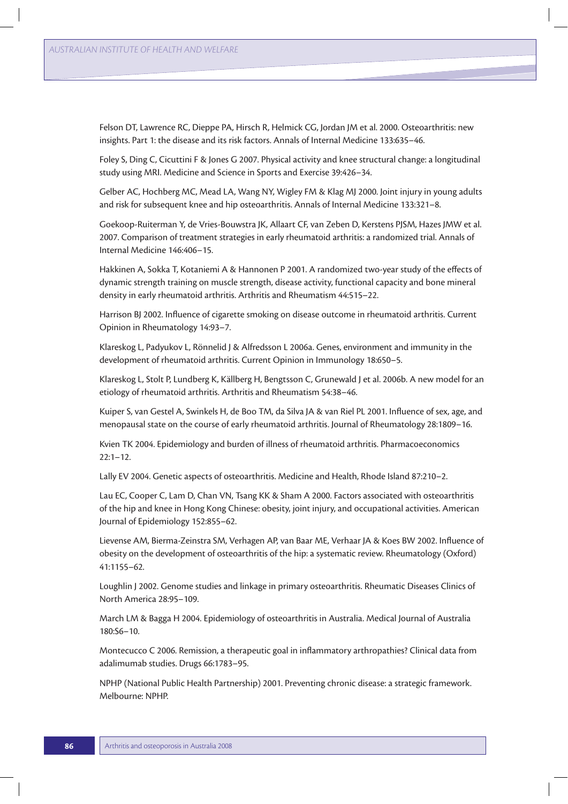Felson DT, Lawrence RC, Dieppe PA, Hirsch R, Helmick CG, Jordan JM et al. 2000. Osteoarthritis: new insights. Part 1: the disease and its risk factors. Annals of Internal Medicine 133:635–46.

Foley S, Ding C, Cicuttini F & Jones G 2007. Physical activity and knee structural change: a longitudinal study using MRI. Medicine and Science in Sports and Exercise 39:426–34.

Gelber AC, Hochberg MC, Mead LA, Wang NY, Wigley FM & Klag MJ 2000. Joint injury in young adults and risk for subsequent knee and hip osteoarthritis. Annals of Internal Medicine 133:321–8.

Goekoop-Ruiterman Y, de Vries-Bouwstra JK, Allaart CF, van Zeben D, Kerstens PJSM, Hazes JMW et al. 2007. Comparison of treatment strategies in early rheumatoid arthritis: a randomized trial. Annals of Internal Medicine 146:406–15.

Hakkinen A, Sokka T, Kotaniemi A & Hannonen P 2001. A randomized two-year study of the effects of dynamic strength training on muscle strength, disease activity, functional capacity and bone mineral density in early rheumatoid arthritis. Arthritis and Rheumatism 44:515–22.

Harrison BJ 2002. Influence of cigarette smoking on disease outcome in rheumatoid arthritis. Current Opinion in Rheumatology 14:93–7.

Klareskog L, Padyukov L, Rönnelid J & Alfredsson L 2006a. Genes, environment and immunity in the development of rheumatoid arthritis. Current Opinion in Immunology 18:650–5.

Klareskog L, Stolt P, Lundberg K, Källberg H, Bengtsson C, Grunewald J et al. 2006b. A new model for an etiology of rheumatoid arthritis. Arthritis and Rheumatism 54:38–46.

Kuiper S, van Gestel A, Swinkels H, de Boo TM, da Silva JA & van Riel PL 2001. Influence of sex, age, and menopausal state on the course of early rheumatoid arthritis. Journal of Rheumatology 28:1809–16.

Kvien TK 2004. Epidemiology and burden of illness of rheumatoid arthritis. Pharmacoeconomics  $22:1 - 12.$ 

Lally EV 2004. Genetic aspects of osteoarthritis. Medicine and Health, Rhode Island 87:210–2.

Lau EC, Cooper C, Lam D, Chan VN, Tsang KK & Sham A 2000. Factors associated with osteoarthritis of the hip and knee in Hong Kong Chinese: obesity, joint injury, and occupational activities. American Journal of Epidemiology 152:855–62.

Lievense AM, Bierma-Zeinstra SM, Verhagen AP, van Baar ME, Verhaar JA & Koes BW 2002. Influence of obesity on the development of osteoarthritis of the hip: a systematic review. Rheumatology (Oxford) 41:1155–62.

Loughlin J 2002. Genome studies and linkage in primary osteoarthritis. Rheumatic Diseases Clinics of North America 28:95–109.

March LM & Bagga H 2004. Epidemiology of osteoarthritis in Australia. Medical Journal of Australia 180:S6–10.

Montecucco C 2006. Remission, a therapeutic goal in inflammatory arthropathies? Clinical data from adalimumab studies. Drugs 66:1783–95.

NPHP (National Public Health Partnership) 2001. Preventing chronic disease: a strategic framework. Melbourne: NPHP.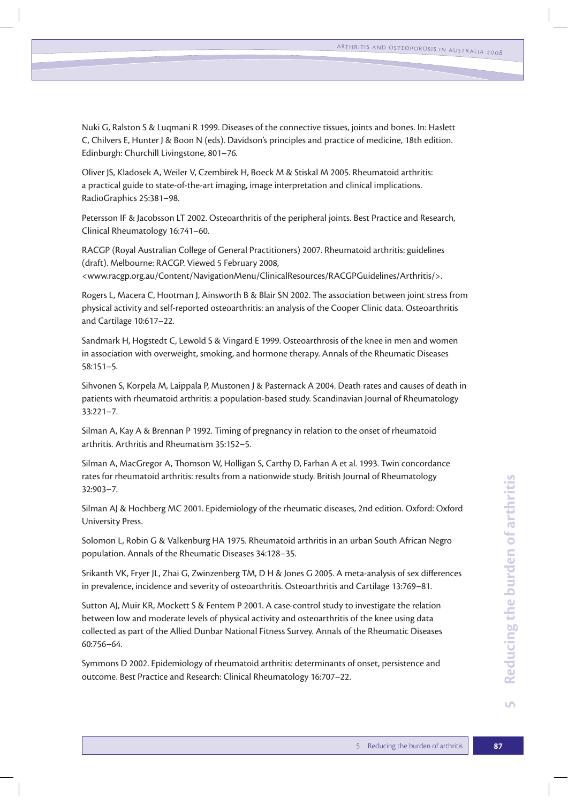Nuki G, Ralston S & Luqmani R 1999. Diseases of the connective tissues, joints and bones. In: Haslett C, Chilvers E, Hunter J & Boon N (eds). Davidson's principles and practice of medicine, 18th edition. Edinburgh: Churchill Livingstone, 801–76.

Oliver JS, Kladosek A, Weiler V, Czembirek H, Boeck M & Stiskal M 2005. Rheumatoid arthritis: a practical guide to state-of-the-art imaging, image interpretation and clinical implications. RadioGraphics 25:381–98.

Petersson IF & Jacobsson LT 2002. Osteoarthritis of the peripheral joints. Best Practice and Research, Clinical Rheumatology 16:741–60.

RACGP (Royal Australian College of General Practitioners) 2007. Rheumatoid arthritis: guidelines (draft). Melbourne: RACGP. Viewed 5 February 2008,

<www.racgp.org.au/Content/NavigationMenu/ClinicalResources/RACGPGuidelines/Arthritis/>.

Rogers L, Macera C, Hootman J, Ainsworth B & Blair SN 2002. The association between joint stress from physical activity and self-reported osteoarthritis: an analysis of the Cooper Clinic data. Osteoarthritis and Cartilage 10:617–22.

Sandmark H, Hogstedt C, Lewold S & Vingard E 1999. Osteoarthrosis of the knee in men and women in association with overweight, smoking, and hormone therapy. Annals of the Rheumatic Diseases 58:151–5.

Sihvonen S, Korpela M, Laippala P, Mustonen J & Pasternack A 2004. Death rates and causes of death in patients with rheumatoid arthritis: a population-based study. Scandinavian Journal of Rheumatology 33:221–7.

Silman A, Kay A & Brennan P 1992. Timing of pregnancy in relation to the onset of rheumatoid arthritis. Arthritis and Rheumatism 35:152–5.

Silman A, MacGregor A, Thomson W, Holligan S, Carthy D, Farhan A et al. 1993. Twin concordance rates for rheumatoid arthritis: results from a nationwide study. British Journal of Rheumatology 32:903–7.

Silman AJ & Hochberg MC 2001. Epidemiology of the rheumatic diseases, 2nd edition. Oxford: Oxford University Press.

Solomon L, Robin G & Valkenburg HA 1975. Rheumatoid arthritis in an urban South African Negro population. Annals of the Rheumatic Diseases 34:128–35.

Srikanth VK, Fryer JL, Zhai G, Zwinzenberg TM, D H & Jones G 2005. A meta-analysis of sex differences in prevalence, incidence and severity of osteoarthritis. Osteoarthritis and Cartilage 13:769–81.

Sutton AJ, Muir KR, Mockett S & Fentem P 2001. A case-control study to investigate the relation between low and moderate levels of physical activity and osteoarthritis of the knee using data collected as part of the Allied Dunbar National Fitness Survey. Annals of the Rheumatic Diseases 60:756–64.

Symmons D 2002. Epidemiology of rheumatoid arthritis: determinants of onset, persistence and outcome. Best Practice and Research: Clinical Rheumatology 16:707–22.